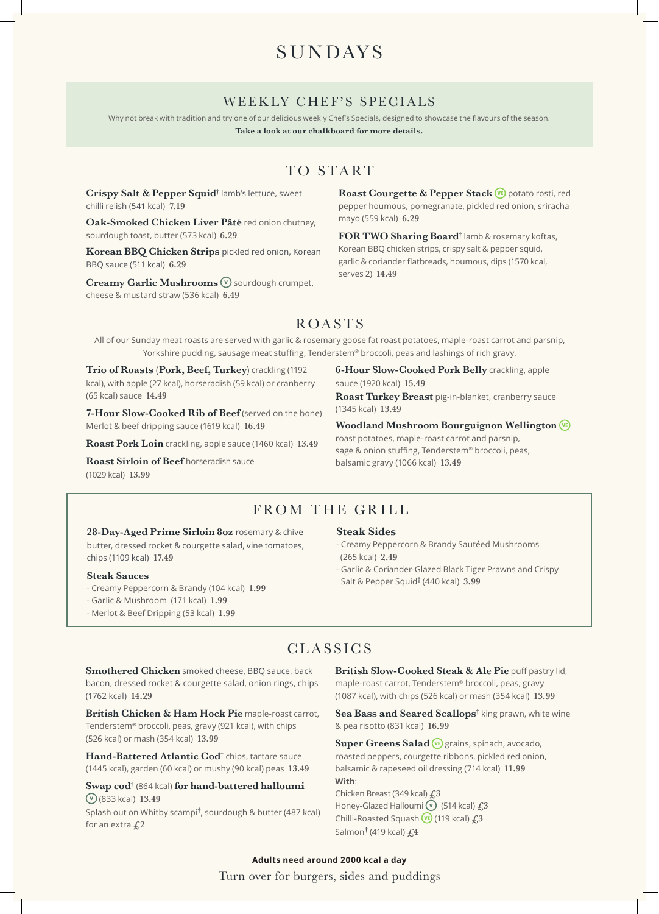# **SUNDAYS**

### WEEKLY CHEF'S SPECIALS

Why not break with tradition and try one of our delicious weekly Chef's Specials, designed to showcase the flavours of the season.

**Take a look at our chalkboard for more details.**

# TO START

**Crispy Salt & Pepper Squid†** lamb's lettuce, sweet chilli relish (541 kcal) **7.19**

**Oak-Smoked Chicken Liver Pâté** red onion chutney, sourdough toast, butter (573 kcal) **6.29**

**Korean BBQ Chicken Strips** pickled red onion, Korean BBQ sauce (511 kcal) **6.29**

**Creamy Garlic Mushrooms**  $\mathbf{\nabla}$  sourdough crumpet, cheese & mustard straw (536 kcal) **6.49**

Roast Courgette & Pepper Stack **(VE)** potato rosti, red pepper houmous, pomegranate, pickled red onion, sriracha mayo (559 kcal) **6.29**

**FOR TWO Sharing Board†** lamb & rosemary koftas, Korean BBQ chicken strips, crispy salt & pepper squid, garlic & coriander flatbreads, houmous, dips (1570 kcal, serves 2) **14.49**

# ROASTS

All of our Sunday meat roasts are served with garlic & rosemary goose fat roast potatoes, maple-roast carrot and parsnip, Yorkshire pudding, sausage meat stuffing, Tenderstem® broccoli, peas and lashings of rich gravy.

**Trio of Roasts (Pork, Beef, Turkey)** crackling (1192 kcal), with apple (27 kcal), horseradish (59 kcal) or cranberry (65 kcal) sauce **14.49**

**7-Hour Slow-Cooked Rib of Beef** (served on the bone) Merlot & beef dripping sauce (1619 kcal) **16.49**

**Roast Pork Loin** crackling, apple sauce (1460 kcal) **13.49**

**Roast Sirloin of Beef** horseradish sauce (1029 kcal) **13.99**

**6-Hour Slow-Cooked Pork Belly** crackling, apple sauce (1920 kcal) **15.49**

**Roast Turkey Breast** pig-in-blanket, cranberry sauce (1345 kcal) **13.49**

**Woodland Mushroom Bourguignon Wellington** 

roast potatoes, maple-roast carrot and parsnip, sage & onion stuffing, Tenderstem® broccoli, peas, balsamic gravy (1066 kcal) **13.49**

## FROM THE GRILL

28-Day-Aged Prime Sirloin 8oz rosemary & chive butter, dressed rocket & courgette salad, vine tomatoes, chips (1109 kcal) **17.49**

#### **Steak Sauces**

- Creamy Peppercorn & Brandy (104 kcal) **1.99**
- Garlic & Mushroom (171 kcal) **1.99**
- Merlot & Beef Dripping (53 kcal) **1.99**

#### **Steak Sides**

- Creamy Peppercorn & Brandy Sautéed Mushrooms (265 kcal) **2.49**
- Garlic & Coriander-Glazed Black Tiger Prawns and Crispy Salt & Pepper Squid† (440 kcal) **3.99**

### CLASSICS

**Smothered Chicken** smoked cheese, BBQ sauce, back bacon, dressed rocket & courgette salad, onion rings, chips (1762 kcal) **14.29**

**British Chicken & Ham Hock Pie** maple-roast carrot, Tenderstem® broccoli, peas, gravy (921 kcal), with chips (526 kcal) or mash (354 kcal) **13.99**

Hand-Battered Atlantic Cod<sup>†</sup> chips, tartare sauce (1445 kcal), garden (60 kcal) or mushy (90 kcal) peas **13.49**

**Swap cod†** (864 kcal) **for hand-battered halloumi**  (833 kcal) **13.49**

Splash out on Whitby scampi**†** , sourdough & butter (487 kcal) for an extra **£2**

**British Slow-Cooked Steak & Ale Pie** puff pastry lid, maple-roast carrot, Tenderstem® broccoli, peas, gravy (1087 kcal), with chips (526 kcal) or mash (354 kcal) **13.99**

Sea Bass and Seared Scallops<sup>†</sup> king prawn, white wine & pea risotto (831 kcal) **16.99**

Super Greens Salad<sup>(vE)</sup> grains, spinach, avocado, roasted peppers, courgette ribbons, pickled red onion, balsamic & rapeseed oil dressing (714 kcal) **11.99 With**: Chicken Breast (349 kcal) **£3** Honey-Glazed Halloumi <sup>(v</sup>) (514 kcal)  $f<sub>1</sub>3$ Chilli-Roasted Squash (119 kcal) **£3**

Turn over for burgers, sides and puddings **Adults need around 2000 kcal a day**

Salmon**†** (419 kcal) **£4**